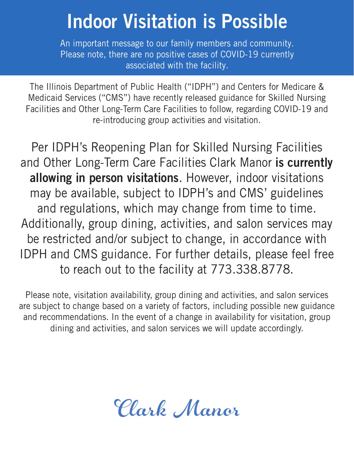## Indoor Visitation is Possible

An important message to our family members and community. Please note, there are no positive cases of COVID-19 currently associated with the facility.

The Illinois Department of Public Health ("IDPH") and Centers for Medicare & Medicaid Services ("CMS") have recently released guidance for Skilled Nursing Facilities and Other Long-Term Care Facilities to follow, regarding COVID-19 and re-introducing group activities and visitation.

Per IDPH's Reopening Plan for Skilled Nursing Facilities and Other Long-Term Care Facilities Clark Manor is currently allowing in person visitations. However, indoor visitations may be available, subject to IDPH's and CMS' guidelines and regulations, which may change from time to time. Additionally, group dining, activities, and salon services may be restricted and/or subject to change, in accordance with IDPH and CMS guidance. For further details, please feel free to reach out to the facility at 773.338.8778.

Please note, visitation availability, group dining and activities, and salon services are subject to change based on a variety of factors, including possible new guidance and recommendations. In the event of a change in availability for visitation, group dining and activities, and salon services we will update accordingly.

Clark Manor